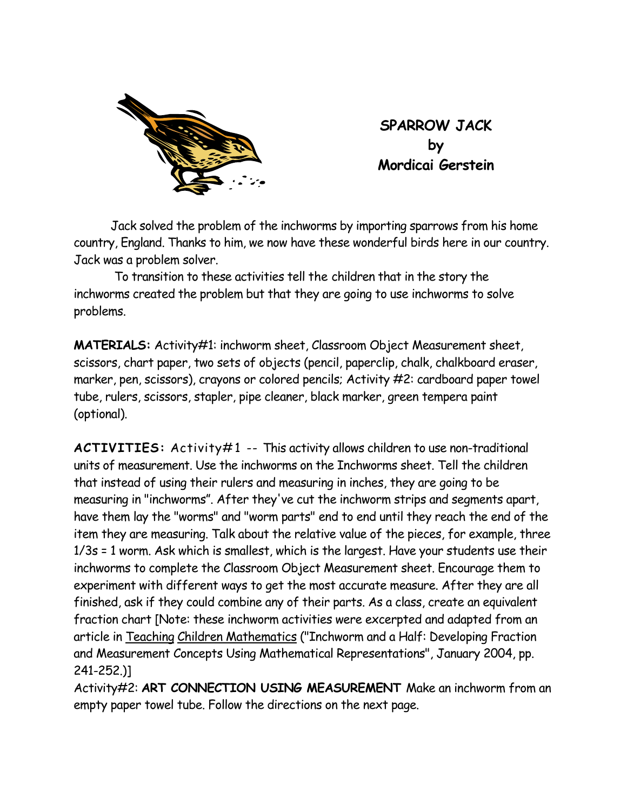

**SPARROW JACK by Mordicai Gerstein** 

 Jack solved the problem of the inchworms by importing sparrows from his home country, England. Thanks to him, we now have these wonderful birds here in our country. Jack was a problem solver.

To transition to these activities tell the children that in the story the inchworms created the problem but that they are going to use inchworms to solve problems.

**MATERIALS:** Activity#1: inchworm sheet, Classroom Object Measurement sheet, scissors, chart paper, two sets of objects (pencil, paperclip, chalk, chalkboard eraser, marker, pen, scissors), crayons or colored pencils; Activity #2: cardboard paper towel tube, rulers, scissors, stapler, pipe cleaner, black marker, green tempera paint (optional).

**ACTIVITIES:** Activity#1 -- This activity allows children to use non-traditional units of measurement. Use the inchworms on the Inchworms sheet. Tell the children that instead of using their rulers and measuring in inches, they are going to be measuring in "inchworms". After they've cut the inchworm strips and segments apart, have them lay the "worms" and "worm parts" end to end until they reach the end of the item they are measuring. Talk about the relative value of the pieces, for example, three 1/3s = 1 worm. Ask which is smallest, which is the largest. Have your students use their inchworms to complete the Classroom Object Measurement sheet. Encourage them to experiment with different ways to get the most accurate measure. After they are all finished, ask if they could combine any of their parts. As a class, create an equivalent fraction chart [Note: these inchworm activities were excerpted and adapted from an article in Teaching Children Mathematics ("Inchworm and a Half: Developing Fraction and Measurement Concepts Using Mathematical Representations", January 2004, pp. 241-252.)]

Activity#2: **ART CONNECTION USING MEASUREMENT** Make an inchworm from an empty paper towel tube. Follow the directions on the next page.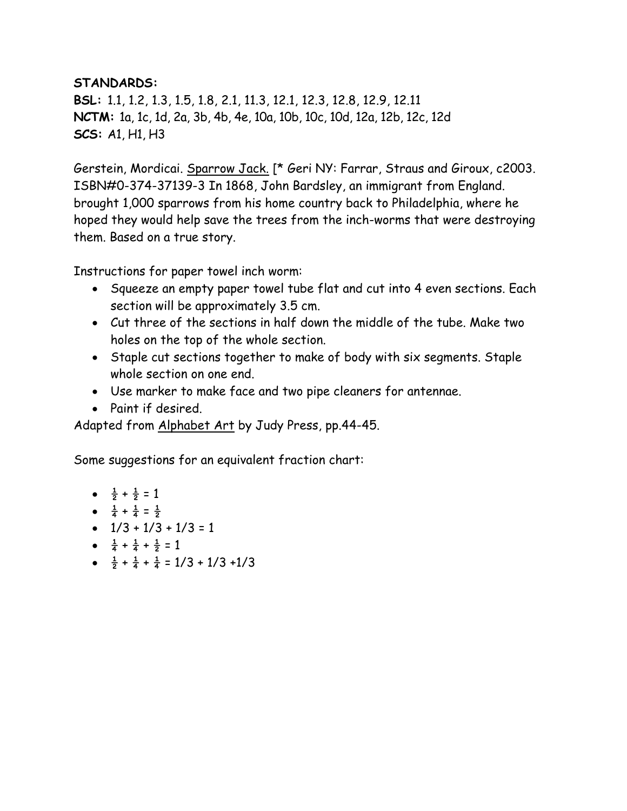## **STANDARDS:**

**BSL:** 1.1, 1.2, 1.3, 1.5, 1.8, 2.1, 11.3, 12.1, 12.3, 12.8, 12.9, 12.11 **NCTM:** 1a, 1c, 1d, 2a, 3b, 4b, 4e, 10a, 10b, 10c, 10d, 12a, 12b, 12c, 12d **SCS:** A1, H1, H3

Gerstein, Mordicai. Sparrow Jack. [\* Geri NY: Farrar, Straus and Giroux, c2003. ISBN#0-374-37139-3 In 1868, John Bardsley, an immigrant from England. brought 1,000 sparrows from his home country back to Philadelphia, where he hoped they would help save the trees from the inch-worms that were destroying them. Based on a true story.

Instructions for paper towel inch worm:

- Squeeze an empty paper towel tube flat and cut into 4 even sections. Each section will be approximately 3.5 cm.
- Cut three of the sections in half down the middle of the tube. Make two holes on the top of the whole section.
- Staple cut sections together to make of body with six segments. Staple whole section on one end.
- Use marker to make face and two pipe cleaners for antennae.
- Paint if desired.

Adapted from Alphabet Art by Judy Press, pp.44-45.

Some suggestions for an equivalent fraction chart:

• 
$$
\frac{1}{2} + \frac{1}{2} = 1
$$

- $\frac{1}{4} + \frac{1}{4} = \frac{1}{2}$
- $\bullet$  1/3 + 1/3 + 1/3 = 1
- $\frac{1}{4} + \frac{1}{4} + \frac{1}{2} = 1$
- $\frac{1}{2} + \frac{1}{4} + \frac{1}{4} = 1/3 + 1/3 + 1/3$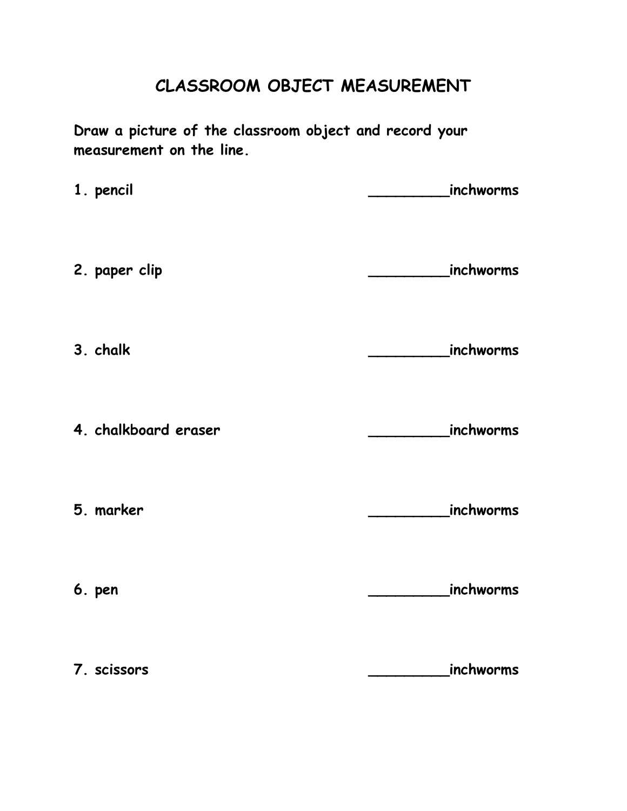## **CLASSROOM OBJECT MEASUREMENT**

**Draw a picture of the classroom object and record your measurement on the line.** 

**1. pencil 1. pencil** 2. paper clip **2. paper** clip **3. chalk \_\_\_\_\_\_\_\_\_inchworms 4. chalkboard eraser \_\_\_\_\_\_\_\_\_inchworms 5. marker \_\_\_\_\_\_\_\_\_inchworms 6. pen \_\_\_\_\_\_\_\_\_inchworms 7. scissors \_\_\_\_\_\_\_\_\_inchworms**